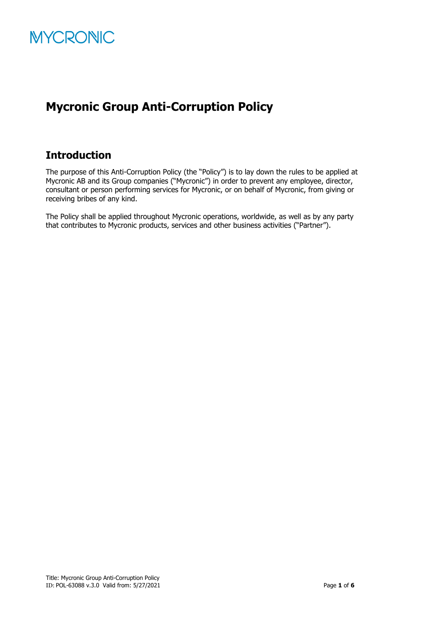

### **Mycronic Group Anti-Corruption Policy**

### **Introduction**

The purpose of this Anti-Corruption Policy (the "Policy") is to lay down the rules to be applied at Mycronic AB and its Group companies ("Mycronic") in order to prevent any employee, director, consultant or person performing services for Mycronic, or on behalf of Mycronic, from giving or receiving bribes of any kind.

The Policy shall be applied throughout Mycronic operations, worldwide, as well as by any party that contributes to Mycronic products, services and other business activities ("Partner").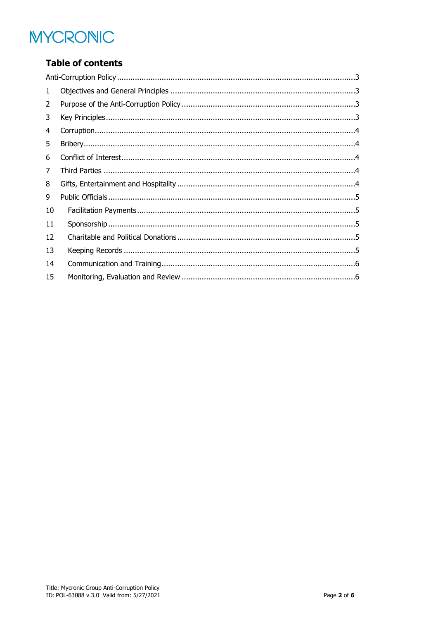# **MYCRONIC**

### **Table of contents**

| 1  |  |
|----|--|
| 2  |  |
| 3  |  |
| 4  |  |
| 5  |  |
| 6  |  |
| 7  |  |
| 8  |  |
| 9  |  |
| 10 |  |
| 11 |  |
| 12 |  |
| 13 |  |
| 14 |  |
| 15 |  |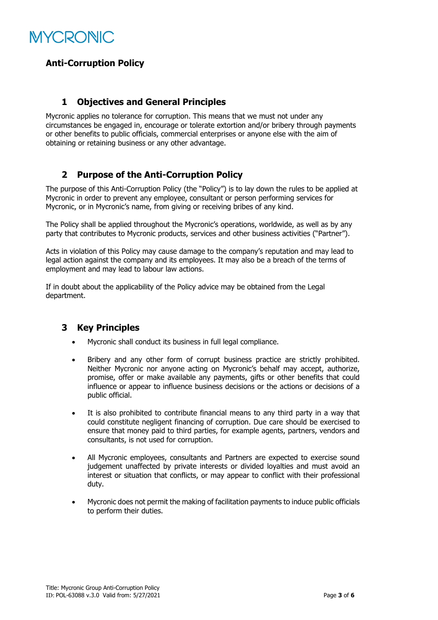

#### <span id="page-2-0"></span>**Anti-Corruption Policy**

#### <span id="page-2-1"></span>**1 Objectives and General Principles**

Mycronic applies no tolerance for corruption. This means that we must not under any circumstances be engaged in, encourage or tolerate extortion and/or bribery through payments or other benefits to public officials, commercial enterprises or anyone else with the aim of obtaining or retaining business or any other advantage.

#### <span id="page-2-2"></span>**2 Purpose of the Anti-Corruption Policy**

The purpose of this Anti-Corruption Policy (the "Policy") is to lay down the rules to be applied at Mycronic in order to prevent any employee, consultant or person performing services for Mycronic, or in Mycronic's name, from giving or receiving bribes of any kind.

The Policy shall be applied throughout the Mycronic's operations, worldwide, as well as by any party that contributes to Mycronic products, services and other business activities ("Partner").

Acts in violation of this Policy may cause damage to the company's reputation and may lead to legal action against the company and its employees. It may also be a breach of the terms of employment and may lead to labour law actions.

If in doubt about the applicability of the Policy advice may be obtained from the Legal department.

#### <span id="page-2-3"></span>**3 Key Principles**

- Mycronic shall conduct its business in full legal compliance.
- Bribery and any other form of corrupt business practice are strictly prohibited. Neither Mycronic nor anyone acting on Mycronic's behalf may accept, authorize, promise, offer or make available any payments, gifts or other benefits that could influence or appear to influence business decisions or the actions or decisions of a public official.
- It is also prohibited to contribute financial means to any third party in a way that could constitute negligent financing of corruption. Due care should be exercised to ensure that money paid to third parties, for example agents, partners, vendors and consultants, is not used for corruption.
- All Mycronic employees, consultants and Partners are expected to exercise sound judgement unaffected by private interests or divided loyalties and must avoid an interest or situation that conflicts, or may appear to conflict with their professional duty.
- Mycronic does not permit the making of facilitation payments to induce public officials to perform their duties.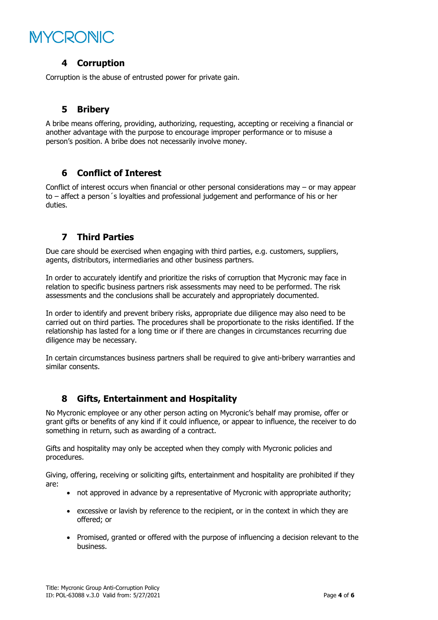## **MYCRONIC**

#### <span id="page-3-0"></span>**4 Corruption**

<span id="page-3-1"></span>Corruption is the abuse of entrusted power for private gain.

#### **5 Bribery**

A bribe means offering, providing, authorizing, requesting, accepting or receiving a financial or another advantage with the purpose to encourage improper performance or to misuse a person's position. A bribe does not necessarily involve money.

#### <span id="page-3-2"></span>**6 Conflict of Interest**

Conflict of interest occurs when financial or other personal considerations may – or may appear to – affect a person´s loyalties and professional judgement and performance of his or her duties.

#### <span id="page-3-3"></span>**7 Third Parties**

Due care should be exercised when engaging with third parties, e.g. customers, suppliers, agents, distributors, intermediaries and other business partners.

In order to accurately identify and prioritize the risks of corruption that Mycronic may face in relation to specific business partners risk assessments may need to be performed. The risk assessments and the conclusions shall be accurately and appropriately documented.

In order to identify and prevent bribery risks, appropriate due diligence may also need to be carried out on third parties. The procedures shall be proportionate to the risks identified. If the relationship has lasted for a long time or if there are changes in circumstances recurring due diligence may be necessary.

In certain circumstances business partners shall be required to give anti-bribery warranties and similar consents.

#### <span id="page-3-4"></span>**8 Gifts, Entertainment and Hospitality**

No Mycronic employee or any other person acting on Mycronic's behalf may promise, offer or grant gifts or benefits of any kind if it could influence, or appear to influence, the receiver to do something in return, such as awarding of a contract.

Gifts and hospitality may only be accepted when they comply with Mycronic policies and procedures.

Giving, offering, receiving or soliciting gifts, entertainment and hospitality are prohibited if they are:

- not approved in advance by a representative of Mycronic with appropriate authority;
- excessive or lavish by reference to the recipient, or in the context in which they are offered; or
- Promised, granted or offered with the purpose of influencing a decision relevant to the business.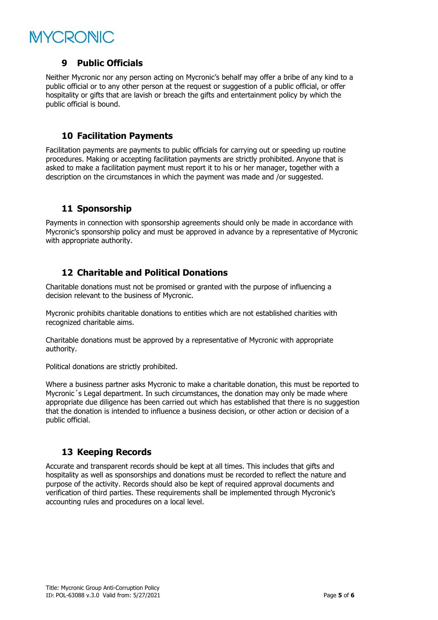# **MYCRONIC**

#### <span id="page-4-0"></span>**9 Public Officials**

Neither Mycronic nor any person acting on Mycronic's behalf may offer a bribe of any kind to a public official or to any other person at the request or suggestion of a public official, or offer hospitality or gifts that are lavish or breach the gifts and entertainment policy by which the public official is bound.

#### <span id="page-4-1"></span>**10 Facilitation Payments**

Facilitation payments are payments to public officials for carrying out or speeding up routine procedures. Making or accepting facilitation payments are strictly prohibited. Anyone that is asked to make a facilitation payment must report it to his or her manager, together with a description on the circumstances in which the payment was made and /or suggested.

#### <span id="page-4-2"></span>**11 Sponsorship**

Payments in connection with sponsorship agreements should only be made in accordance with Mycronic's sponsorship policy and must be approved in advance by a representative of Mycronic with appropriate authority.

#### <span id="page-4-3"></span>**12 Charitable and Political Donations**

Charitable donations must not be promised or granted with the purpose of influencing a decision relevant to the business of Mycronic.

Mycronic prohibits charitable donations to entities which are not established charities with recognized charitable aims.

Charitable donations must be approved by a representative of Mycronic with appropriate authority.

Political donations are strictly prohibited.

Where a business partner asks Mycronic to make a charitable donation, this must be reported to Mycronic´s Legal department. In such circumstances, the donation may only be made where appropriate due diligence has been carried out which has established that there is no suggestion that the donation is intended to influence a business decision, or other action or decision of a public official.

#### <span id="page-4-4"></span>**13 Keeping Records**

Accurate and transparent records should be kept at all times. This includes that gifts and hospitality as well as sponsorships and donations must be recorded to reflect the nature and purpose of the activity. Records should also be kept of required approval documents and verification of third parties. These requirements shall be implemented through Mycronic's accounting rules and procedures on a local level.